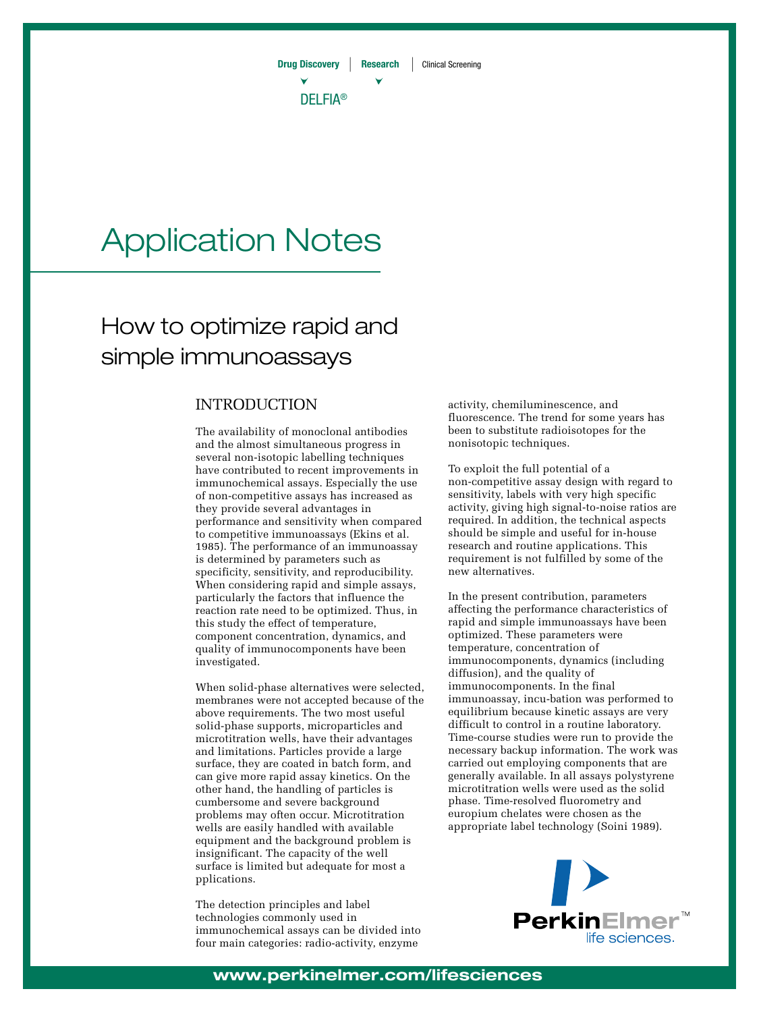

# Application Notes

## How to optimize rapid and simple immunoassays

## INTRODUCTION

The availability of monoclonal antibodies and the almost simultaneous progress in several non-isotopic labelling techniques have contributed to recent improvements in immunochemical assays. Especially the use of non-competitive assays has increased as they provide several advantages in performance and sensitivity when compared to competitive immunoassays (Ekins et al. 1985). The performance of an immunoassay is determined by parameters such as specificity, sensitivity, and reproducibility. When considering rapid and simple assays, particularly the factors that influence the reaction rate need to be optimized. Thus, in this study the effect of temperature, component concentration, dynamics, and quality of immunocomponents have been investigated.

When solid-phase alternatives were selected, membranes were not accepted because of the above requirements. The two most useful solid-phase supports, microparticles and microtitration wells, have their advantages and limitations. Particles provide a large surface, they are coated in batch form, and can give more rapid assay kinetics. On the other hand, the handling of particles is cumbersome and severe background problems may often occur. Microtitration wells are easily handled with available equipment and the background problem is insignificant. The capacity of the well surface is limited but adequate for most a pplications.

The detection principles and label technologies commonly used in immunochemical assays can be divided into four main categories: radio-activity, enzyme

activity, chemiluminescence, and fluorescence. The trend for some years has been to substitute radioisotopes for the nonisotopic techniques.

To exploit the full potential of a non-competitive assay design with regard to sensitivity, labels with very high specific activity, giving high signal-to-noise ratios are required. In addition, the technical aspects should be simple and useful for in-house research and routine applications. This requirement is not fulfilled by some of the new alternatives.

In the present contribution, parameters affecting the performance characteristics of rapid and simple immunoassays have been optimized. These parameters were temperature, concentration of immunocomponents, dynamics (including diffusion), and the quality of immunocomponents. In the final immunoassay, incu-bation was performed to equilibrium because kinetic assays are very difficult to control in a routine laboratory. Time-course studies were run to provide the necessary backup information. The work was carried out employing components that are generally available. In all assays polystyrene microtitration wells were used as the solid phase. Time-resolved fluorometry and europium chelates were chosen as the appropriate label technology (Soini 1989).

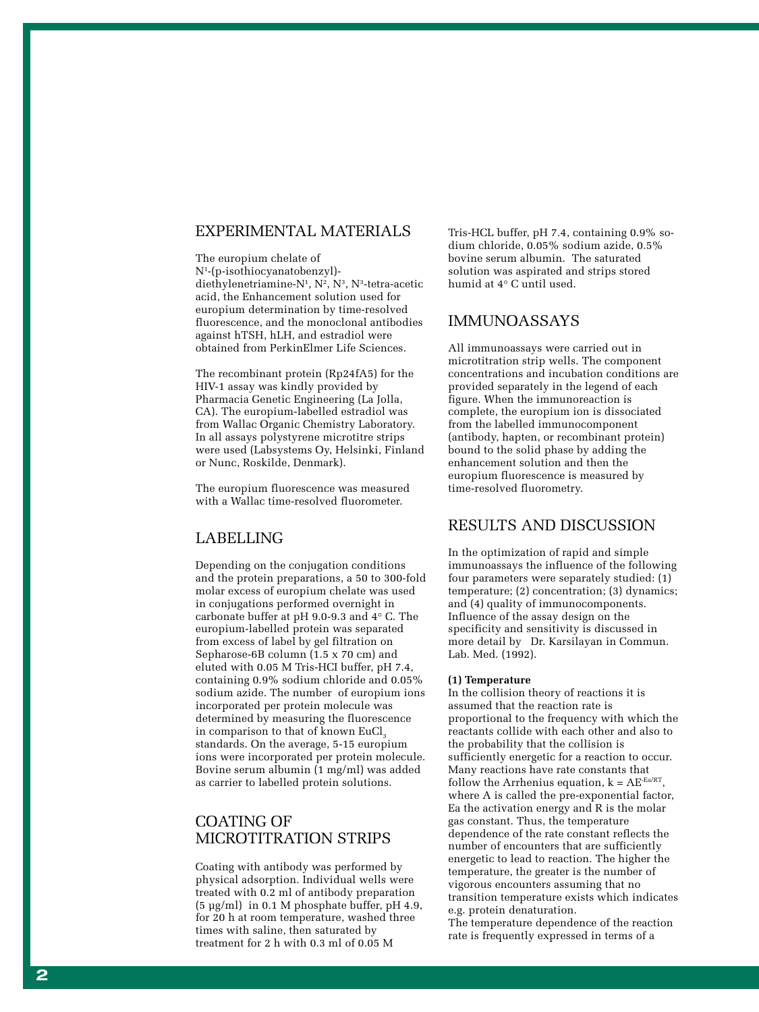## EXPERIMENTAL MATERIALS

The europium chelate of N1 -(p-isothiocyanatobenzyl) diethylenetriamine-N 1 , N 2 , N 3 , N 3 -tetra-acetic acid, the Enhancement solution used for europium determination by time-resolved fluorescence, and the monoclonal antibodies against hTSH, hLH, and estradiol were obtained from PerkinElmer Life Sciences.

The recombinant protein (Rp24fA5) for the HIV-1 assay was kindly provided by Pharmacia Genetic Engineering (La Jolla, CA). The europium-labelled estradiol was from Wallac Organic Chemistry Laboratory. In all assays polystyrene microtitre strips were used (Labsystems Oy, Helsinki, Finland or Nunc, Roskilde, Denmark).

The europium fluorescence was measured with a Wallac time-resolved fluorometer.

## LABELLING

Depending on the conjugation conditions and the protein preparations, a 50 to 300-fold molar excess of europium chelate was used in conjugations performed overnight in carbonate buffer at pH 9.0-9.3 and 4° C. The europium-labelled protein was separated from excess of label by gel filtration on Sepharose-6B column (1.5 x 70 cm) and eluted with 0.05 M Tris-HCI buffer, pH 7.4, containing 0.9% sodium chloride and 0.05% sodium azide. The number of europium ions incorporated per protein molecule was determined by measuring the fluorescence in comparison to that of known EuCl m comparison to that or known Each<sub>3</sub><br>standards. On the average, 5-15 europium ions were incorporated per protein molecule. Bovine serum albumin (1 mg/ml) was added as carrier to labelled protein solutions.

## COATING OF MICROTITRATION STRIPS

Coating with antibody was performed by physical adsorption. Individual wells were treated with 0.2 ml of antibody preparation (5 µg/ml) in 0.1 M phosphate buffer, pH 4.9, for 20 h at room temperature, washed three times with saline, then saturated by treatment for 2 h with 0.3 ml of 0.05 M

Tris-HCL buffer, pH 7.4, containing 0.9% sodium chloride, 0.05% sodium azide, 0*.*5% bovine serum albumin. The saturated solution was aspirated and strips stored humid at 4° C until used.

## IMMUNOASSAYS

All immunoassays were carried out in microtitration strip wells. The component concentrations and incubation conditions are provided separately in the legend of each figure. When the immunoreaction is complete, the europium ion is dissociated from the labelled immunocomponent (antibody, hapten, or recombinant protein) bound to the solid phase by adding the enhancement solution and then the europium fluorescence is measured by time-resolved fluorometry.

## RESULTS AND DISCUSSION

In the optimization of rapid and simple immunoassays the influence of the following four parameters were separately studied: (1) temperature; (2) concentration; (3) dynamics; and (4) quality of immunocomponents. Influence of the assay design on the specificity and sensitivity is discussed in more detail by Dr. Karsilayan in Commun. Lab. Med. (1992).

#### **(1) Temperature**

In the collision theory of reactions it is assumed that the reaction rate is proportional to the frequency with which the reactants collide with each other and also to the probability that the collision is sufficiently energetic for a reaction to occur. Many reactions have rate constants that follow the Arrhenius equation,  $k = AE^{-Ea/RT}$ , where A is called the pre-exponential factor, Ea the activation energy and R is the molar gas constant. Thus, the temperature dependence of the rate constant reflects the number of encounters that are sufficiently energetic to lead to reaction. The higher the temperature, the greater is the number of vigorous encounters assuming that no transition temperature exists which indicates e.g. protein denaturation.

The temperature dependence of the reaction rate is frequently expressed in terms of a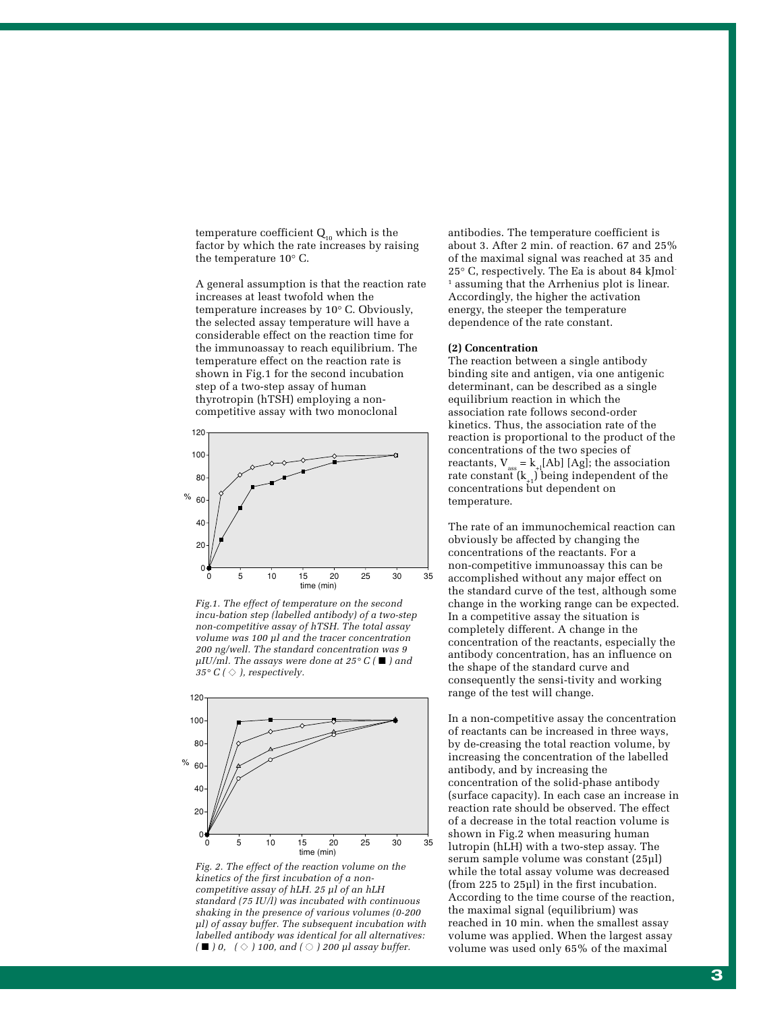temperature coefficient  $Q_{10}$  which is the factor by which the rate increases by raising the temperature 10° C.

A general assumption is that the reaction rate increases at least twofold when the temperature increases by 10° C. Obviously, the selected assay temperature will have a considerable effect on the reaction time for the immunoassay to reach equilibrium. The temperature effect on the reaction rate is shown in Fig.1 for the second incubation step of a two-step assay of human thyrotropin (hTSH) employing a noncompetitive assay with two monoclonal



*Fig.1. The effect of temperature on the second incu-bation step (labelled antibody) of a two-step non-competitive assay of hTSH. The total assay volume was 100 µl and the tracer concentration 200 ng/well. The standard concentration was 9 µIU/ml. The assays were done at 25° C (* ■ *) and*  $35^{\circ}$  C (  $\diamond$  ), respectively.



*Fig. 2. The effect of the reaction volume on the kinetics of the first incubation of a noncompetitive assay of hLH. 25 µl of an hLH standard (75 IU/l) was incubated with continuous shaking in the presence of various volumes (0-200 µl) of assay buffer. The subsequent incubation with labelled antibody was identical for all alternatives: (* ■ *) 0, (* ◆ *) 100, and (* ● *) 200 µl assay buffer.*

antibodies. The temperature coefficient is about 3. After 2 min. of reaction. 67 and 25% of the maximal signal was reached at 35 and 25° C, respectively. The Ea is about 84 kJmol-1 assuming that the Arrhenius plot is linear. Accordingly, the higher the activation energy, the steeper the temperature dependence of the rate constant.

#### **(2) Concentration**

The reaction between a single antibody binding site and antigen, via one antigenic determinant, can be described as a single equilibrium reaction in which the association rate follows second-order kinetics. Thus, the association rate of the reaction is proportional to the product of the concentrations of the two species of reactants,  $V_{\text{ass}} = k_{+1}[\text{Ab}] [\text{Ag}]$ ; the association rate constant  $(k_{+1})$  being independent of the concentrations but dependent on temperature.

The rate of an immunochemical reaction can obviously be affected by changing the concentrations of the reactants. For a non-competitive immunoassay this can be accomplished without any major effect on the standard curve of the test, although some change in the working range can be expected. In a competitive assay the situation is completely different. A change in the concentration of the reactants, especially the antibody concentration, has an influence on the shape of the standard curve and consequently the sensi-tivity and working range of the test will change.

In a non-competitive assay the concentration of reactants can be increased in three ways, by de-creasing the total reaction volume, by increasing the concentration of the labelled antibody, and by increasing the concentration of the solid-phase antibody (surface capacity). In each case an increase in reaction rate should be observed. The effect of a decrease in the total reaction volume is shown in Fig.2 when measuring human lutropin (hLH) with a two-step assay. The serum sample volume was constant (25µl) while the total assay volume was decreased (from 225 to 25µl) in the first incubation. According to the time course of the reaction, the maximal signal (equilibrium) was reached in 10 min. when the smallest assay volume was applied. When the largest assay volume was used only 65% of the maximal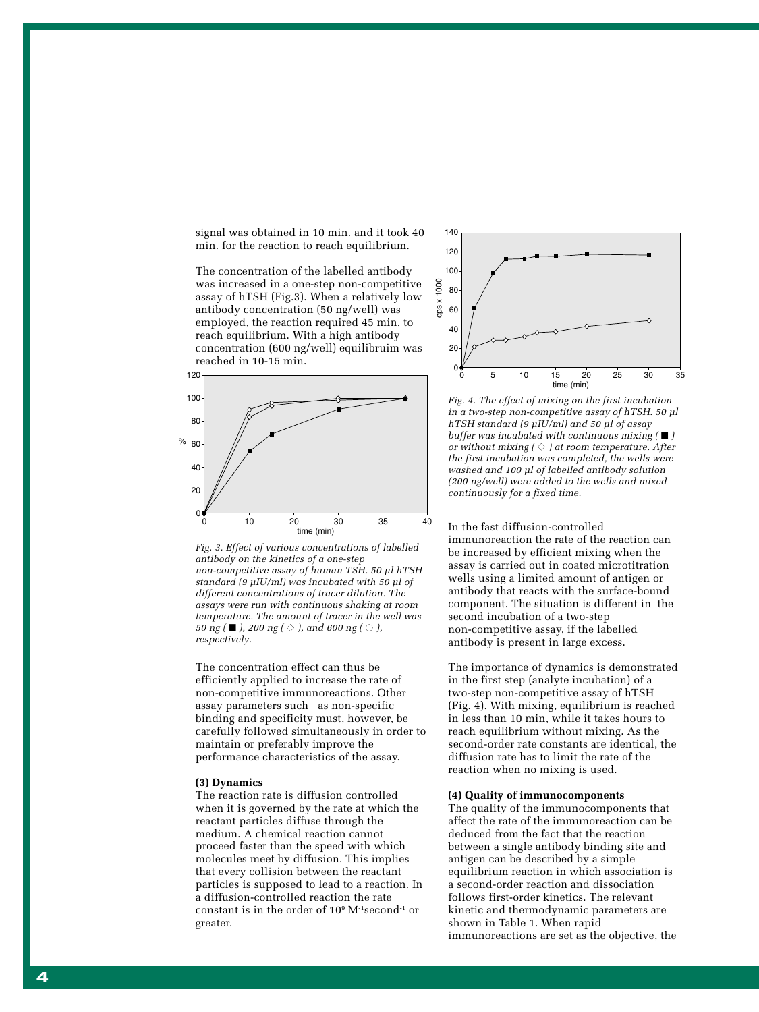signal was obtained in 10 min. and it took 40 min. for the reaction to reach equilibrium.

The concentration of the labelled antibody was increased in a one-step non-competitive assay of hTSH (Fig.3). When a relatively low antibody concentration (50 ng/well) was employed, the reaction required 45 min. to reach equilibrium. With a high antibody concentration (600 ng/well) equilibruim was reached in 10-15 min.





The concentration effect can thus be efficiently applied to increase the rate of non-competitive immunoreactions. Other assay parameters such as non-specific binding and specificity must, however, be carefully followed simultaneously in order to maintain or preferably improve the performance characteristics of the assay.

#### **(3) Dynamics**

The reaction rate is diffusion controlled when it is governed by the rate at which the reactant particles diffuse through the medium. A chemical reaction cannot proceed faster than the speed with which molecules meet by diffusion. This implies that every collision between the reactant particles is supposed to lead to a reaction. In a diffusion-controlled reaction the rate constant is in the order of 10 9 M-1second-1 or greater.



*Fig. 4. The effect of mixing on the first incubation in a two-step non-competitive assay of hTSH. 50 µl hTSH standard (9 µIU/ml) and 50 µl of assay buffer was incubated with continuous mixing (*  ■ *) or without mixing (*  ◆ *) at room temperature. After the first incubation was completed, the wells were washed and 100 µl of labelled antibody solution (200 ng/well) were added to the wells and mixed continuously for a fixed time.*

In the fast diffusion-controlled immunoreaction the rate of the reaction can be increased by efficient mixing when the assay is carried out in coated microtitration wells using a limited amount of antigen or antibody that reacts with the surface-bound component. The situation is different in the second incubation of a two-step non-competitive assay, if the labelled antibody is present in large excess.

The importance of dynamics is demonstrated in the first step (analyte incubation) of a two-step non-competitive assay of hTSH (Fig. 4). With mixing, equilibrium is reached in less than 10 min, while it takes hours to reach equilibrium without mixing. As the second-order rate constants are identical, the diffusion rate has to limit the rate of the reaction when no mixing is used.

#### **(4) Quality of immunocomponents**

The quality of the immunocomponents that affect the rate of the immunoreaction can be deduced from the fact that the reaction between a single antibody binding site and antigen can be described by a simple equilibrium reaction in which association is a second-order reaction and dissociation follows first-order kinetics. The relevant kinetic and thermodynamic parameters are shown in Table 1. When rapid immunoreactions are set as the objective, the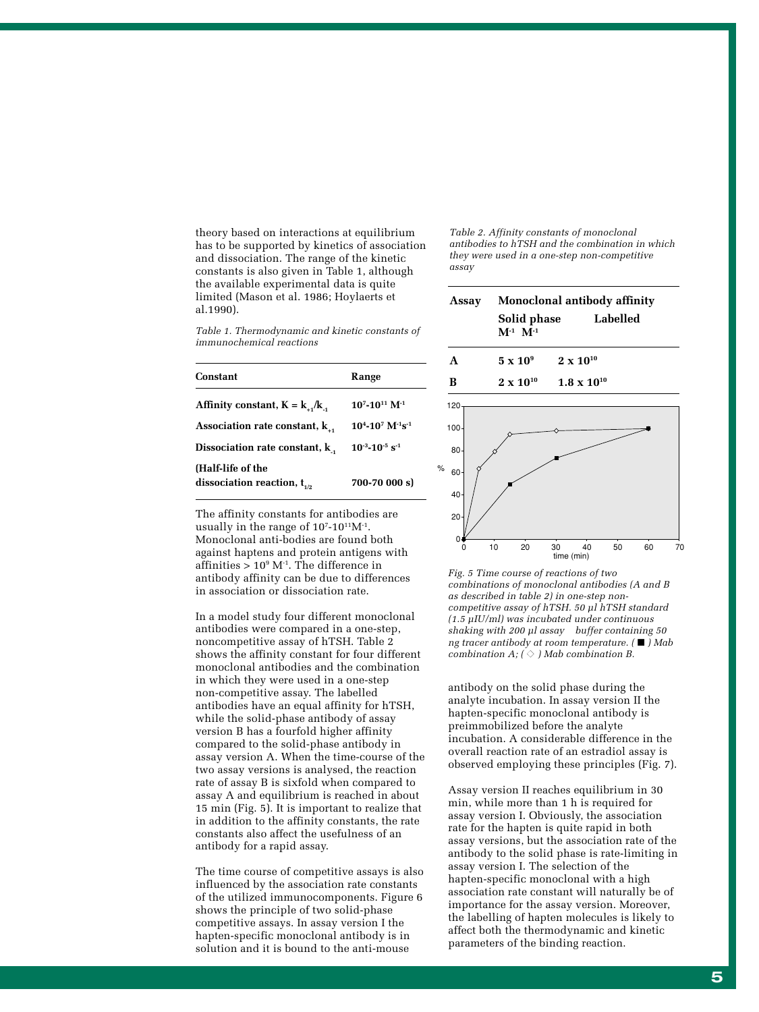theory based on interactions at equilibrium has to be supported by kinetics of association and dissociation. The range of the kinetic constants is also given in Table 1, although the available experimental data is quite limited (Mason et al. 1986; Hoylaerts et al.1990).

*Table 1. Thermodynamic and kinetic constants of immunochemical reactions*

| Constant                                              | Range                                         |
|-------------------------------------------------------|-----------------------------------------------|
| Affinity constant, $K = k_A/k_A$                      | $10^{7}$ -10 <sup>11</sup> M <sup>-1</sup>    |
| Association rate constant, $k_{11}$                   | $10^4 - 10^7$ M <sup>-1</sup> s <sup>-1</sup> |
| Dissociation rate constant, $k_{\perp}$               | $10^{-3} - 10^{-5}$ s <sup>-1</sup>           |
| (Half-life of the<br>dissociation reaction, $t_{1/2}$ | 700-70 000 s)                                 |

The affinity constants for antibodies are usually in the range of  $10^{7}$ - $10^{11}$ M<sup>-1</sup>. Monoclonal anti-bodies are found both against haptens and protein antigens with affinities  $> 10^9$  M<sup>-1</sup>. The difference in antibody affinity can be due to differences in association or dissociation rate.

In a model study four different monoclonal antibodies were compared in a one-step, noncompetitive assay of hTSH. Table 2 shows the affinity constant for four different monoclonal antibodies and the combination in which they were used in a one-step non-competitive assay. The labelled antibodies have an equal affinity for hTSH, while the solid-phase antibody of assay version B has a fourfold higher affinity compared to the solid-phase antibody in assay version A. When the time-course of the two assay versions is analysed, the reaction rate of assay B is sixfold when compared to assay A and equilibrium is reached in about 15 min (Fig. 5). It is important to realize that in addition to the affinity constants, the rate constants also affect the usefulness of an antibody for a rapid assay.

The time course of competitive assays is also influenced by the association rate constants of the utilized immunocomponents. Figure 6 shows the principle of two solid-phase competitive assays. In assay version I the hapten-specific monoclonal antibody is in solution and it is bound to the anti-mouse

*Table 2. Affinity constants of monoclonal antibodies to hTSH and the combination in which they were used in a one-step non-competitive assay*

| Assay   | Solid phase<br>$M^{-1}$ $M^{-1}$ | Monoclonal antibody affinity<br>Labelled |
|---------|----------------------------------|------------------------------------------|
| A       | $5 \times 10^9$                  | $2 \times 10^{10}$                       |
| B       | $2 \times 10^{10}$               | $1.8 \times 10^{10}$                     |
| 120     |                                  |                                          |
| $100 -$ |                                  |                                          |
| 80      |                                  |                                          |
| 60      |                                  |                                          |
| 40      |                                  |                                          |
| 20      |                                  |                                          |

*Fig. 5 Time course of reactions of two combinations of monoclonal antibodies (A and B as described in table 2) in one-step noncompetitive assay of hTSH. 50 µl hTSH standard (1.5 µIU/ml) was incubated under continuous shaking with 200 µl assay buffer containing 50 ng tracer antibody at room temperature. (* ■ *) Mab combination A;*  $( \Diamond )$  *Mab combination B.* 

time (min) 0 40 50 60 70

10 20 30

 $0\frac{1}{2}$ 

 $\frac{1}{2}$ 

antibody on the solid phase during the analyte incubation. In assay version II the hapten-specific monoclonal antibody is preimmobilized before the analyte incubation. A considerable difference in the overall reaction rate of an estradiol assay is observed employing these principles (Fig. 7).

Assay version II reaches equilibrium in 30 min, while more than 1 h is required for assay version I. Obviously, the association rate for the hapten is quite rapid in both assay versions, but the association rate of the antibody to the solid phase is rate-limiting in assay version I. The selection of the hapten-specific monoclonal with a high association rate constant will naturally be of importance for the assay version. Moreover, the labelling of hapten molecules is likely to affect both the thermodynamic and kinetic parameters of the binding reaction.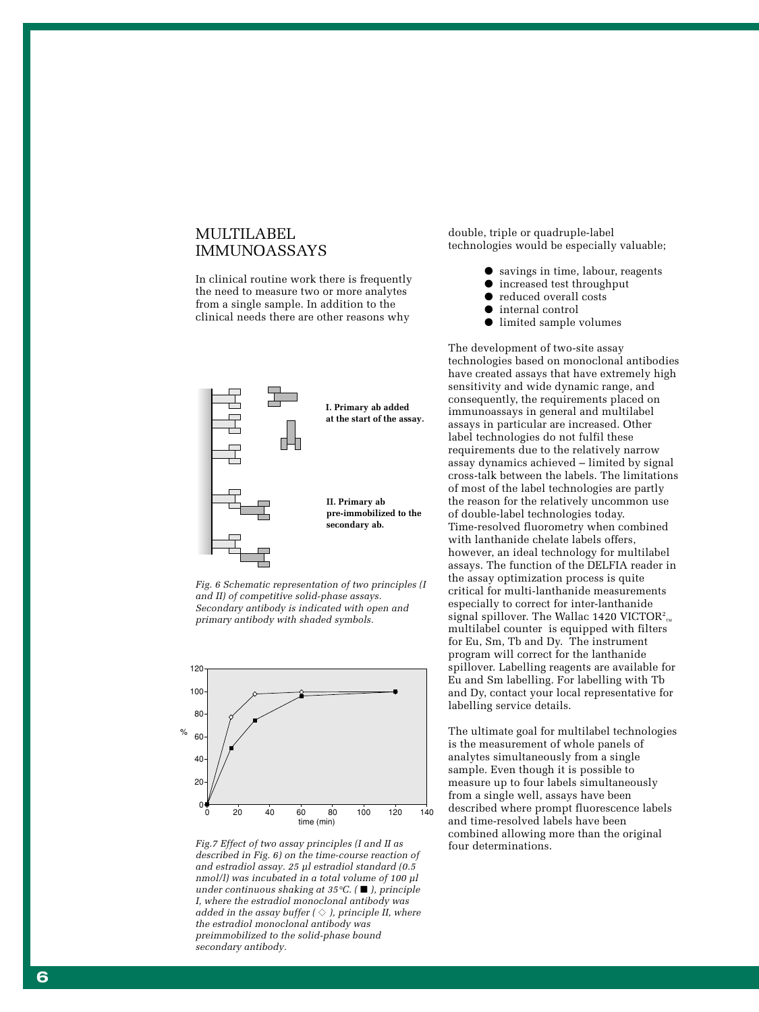### MULTILABEL IMMUNOASSAYS

In clinical routine work there is frequently the need to measure two or more analytes from a single sample. In addition to the clinical needs there are other reasons why







Fig.7 Effect of two assay principles (I and II as four determinations. *described in Fig. 6) on the time-course reaction of and estradiol assay. 25 µl estradiol standard (0.5 nmol/l) was incubated in a total volume of 100 µl under continuous shaking at 35 °C. (*  ■ *), principle I, where the estradiol monoclonal antibody was added in the assay buffer (*  ◆ *), principle II, where the estradiol monoclonal antibody was preimmobilized to the solid-phase bound secondary antibody.*

double, triple or quadruple-label technologies would be especially valuable;

- savings in time, labour, reagents
- increased test throughput
- reduced overall costs
- internal control
- limited sample volumes

The development of two-site assay technologies based on monoclonal antibodies have created assays that have extremely high sensitivity and wide dynamic range, and consequently, the requirements placed on immunoassays in general and multilabel assays in particular are increased. Other label technologies do not fulfil these requirements due to the relatively narrow assay dynamics achieved – limited by signal cross-talk between the labels. The limitations of most of the label technologies are partly the reason for the relatively uncommon use of double-label technologies today. Time-resolved fluorometry when combined with lanthanide chelate labels offers, however, an ideal technology for multilabel assays. The function of the DELFIA reader in the assay optimization process is quite critical for multi-lanthanide measurements especially to correct for inter-lanthanide signal spillover. The Wallac 1420 VICTOR $^{\rm 2}$ <sub>™</sub> multilabel counter is equipped with filters for Eu, Sm, Tb and Dy. The instrument program will correct for the lanthanide spillover. Labelling reagents are available for Eu and Sm labelling. For labelling with Tb and Dy, contact your local representative for labelling service details.

The ultimate goal for multilabel technologies is the measurement of whole panels of analytes simultaneously from a single sample. Even though it is possible to measure up to four labels simultaneously from a single well, assays have been described where prompt fluorescence labels and time-resolved labels have been combined allowing more than the original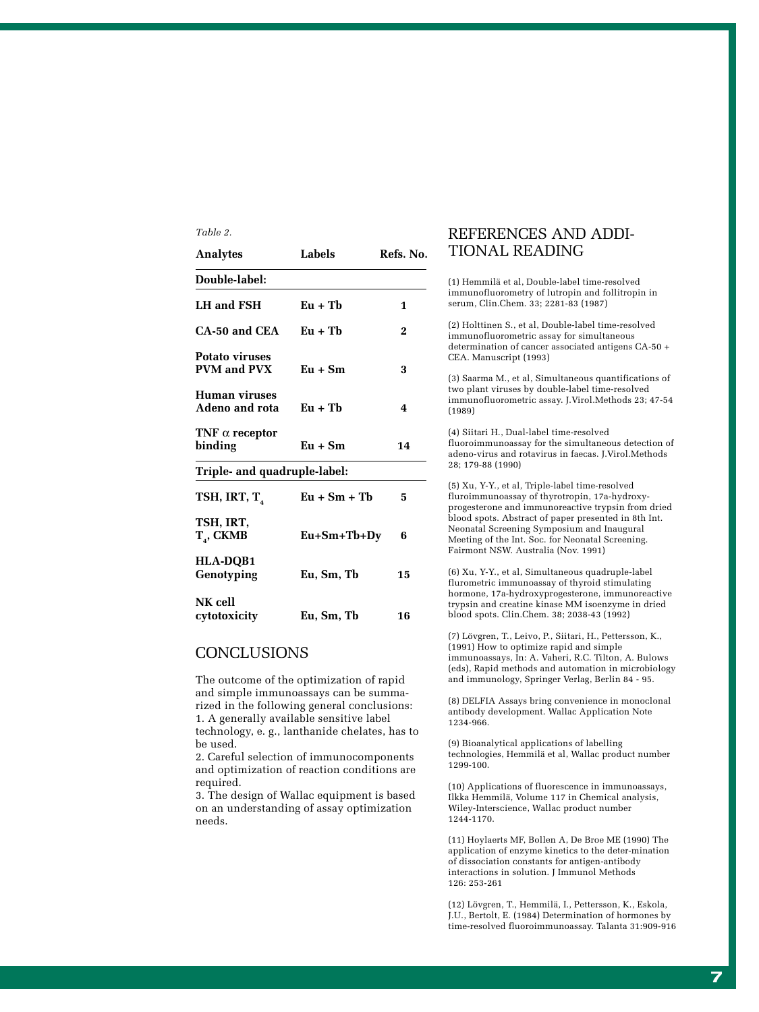| <b>Analytes</b>                                    | <b>Labels</b>  | Refs. No. |
|----------------------------------------------------|----------------|-----------|
| Double-label:                                      |                |           |
| <b>LH</b> and FSH                                  | $Eu + Tb$      | 1         |
| CA-50 and CEA                                      | $Eu + Tb$      | $\bf{2}$  |
| <b>Potato viruses</b><br><b>PVM</b> and <b>PVX</b> | $Eu + Sm$      | 3         |
| Human viruses<br>Adeno and rota                    | $Eu + Tb$      | 4         |
| TNF $\alpha$ receptor<br>binding                   | $Eu + Sm$      | 14        |
| Triple- and quadruple-label:                       |                |           |
| TSH, IRT, T <sub>4</sub>                           | $Eu + Sm + Tb$ | 5         |
| TSH, IRT,<br>$T_{4}$ , CKMB                        | Eu+Sm+Tb+Dy    | 6         |
| HLA-DQB1<br>Genotyping                             | Eu, Sm, Tb     | 15        |
| NK cell<br>cytotoxicity                            | Eu, Sm, Tb     | 16        |

## **CONCLUSIONS**

*Table 2.*

The outcome of the optimization of rapid and simple immunoassays can be summarized in the following general conclusions: 1. A generally available sensitive label technology, e. g., lanthanide chelates, has to be used.

2. Careful selection of immunocomponents and optimization of reaction conditions are required.

3. The design of Wallac equipment is based on an understanding of assay optimization needs.

## REFERENCES AND ADDI-TIONAL READING

(1) Hemmilä et al, Double-label time-resolved immunofluorometry of lutropin and follitropin in serum, Clin.Chem. 33; 2281-83 (1987)

(2) Holttinen S., et al, Double-label time-resolved immunofluorometric assay for simultaneous determination of cancer associated antigens CA-50 + CEA. Manuscript (1993)

(3) Saarma M., et al, Simultaneous quantifications of two plant viruses by double-label time-resolved immunofluorometric assay. J.Virol.Methods 23; 47-54 (1989)

(4) Siitari H., Dual-label time-resolved fluoroimmunoassay for the simultaneous detection of adeno-virus and rotavirus in faecas. J.Virol.Methods 28; 179-88 (1990)

(5) Xu, Y-Y., et al, Triple-label time-resolved fluroimmunoassay of thyrotropin, 17a-hydroxyprogesterone and immunoreactive trypsin from dried blood spots. Abstract of paper presented in 8th Int. Neonatal Screening Symposium and Inaugural Meeting of the Int. Soc. for Neonatal Screening. Fairmont NSW. Australia (Nov. 1991)

(6) Xu, Y-Y., et al, Simultaneous quadruple-label flurometric immunoassay of thyroid stimulating hormone, 17a-hydroxyprogesterone, immunoreactive trypsin and creatine kinase MM isoenzyme in dried blood spots. Clin.Chem. 38; 2038-43 (1992)

(7) Lövgren, T., Leivo, P., Siitari, H., Pettersson, K., (1991) How to optimize rapid and simple immunoassays, In: A. Vaheri, R.C. Tilton, A. Bulows (eds), Rapid methods and automation in microbiology and immunology, Springer Verlag, Berlin 84 - 95.

(8) DELFIA Assays bring convenience in monoclonal antibody development. Wallac Application Note 1234-966.

(9) Bioanalytical applications of labelling technologies, Hemmilä et al, Wallac product number 1299-100.

(10) Applications of fluorescence in immunoassays, Ilkka Hemmilä, Volume 117 in Chemical analysis, Wiley-Interscience, Wallac product number 1244-1170.

(11) Hoylaerts MF, Bollen A, De Broe ME (1990) The application of enzyme kinetics to the deter-mination of dissociation constants for antigen-antibody interactions in solution. J Immunol Methods 126: 253-261

(12) Lövgren, T., Hemmilä, I., Pettersson, K., Eskola, J.U., Bertolt, E. (1984) Determination of hormones by time-resolved fluoroimmunoassay. Talanta 31:909-916

**7**